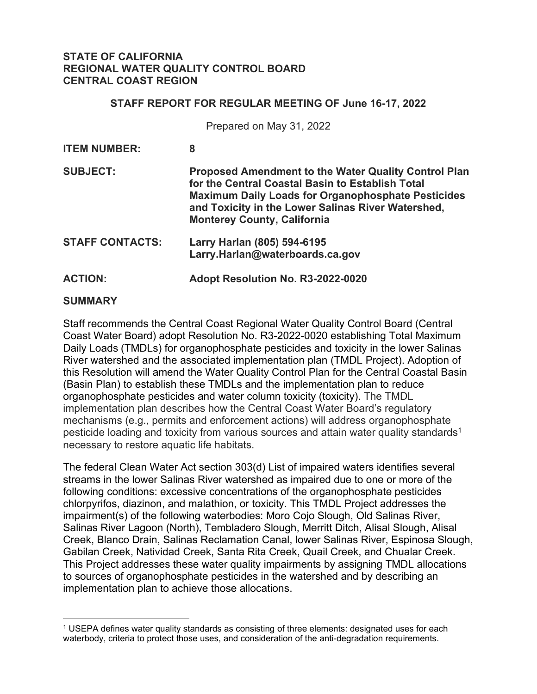### **STATE OF CALIFORNIA REGIONAL WATER QUALITY CONTROL BOARD CENTRAL COAST REGION**

#### **STAFF REPORT FOR REGULAR MEETING OF June 16-17, 2022**

Prepared on May 31, 2022

| <b>ITEM NUMBER:</b>    | 8                                                                                                                                                                                                                                                                        |
|------------------------|--------------------------------------------------------------------------------------------------------------------------------------------------------------------------------------------------------------------------------------------------------------------------|
| <b>SUBJECT:</b>        | <b>Proposed Amendment to the Water Quality Control Plan</b><br>for the Central Coastal Basin to Establish Total<br><b>Maximum Daily Loads for Organophosphate Pesticides</b><br>and Toxicity in the Lower Salinas River Watershed,<br><b>Monterey County, California</b> |
| <b>STAFF CONTACTS:</b> | Larry Harlan (805) 594-6195<br>Larry.Harlan@waterboards.ca.gov                                                                                                                                                                                                           |
| <b>ACTION:</b>         | Adopt Resolution No. R3-2022-0020                                                                                                                                                                                                                                        |

#### **SUMMARY**

Staff recommends the Central Coast Regional Water Quality Control Board (Central Coast Water Board) adopt Resolution No. R3-2022-0020 establishing Total Maximum Daily Loads (TMDLs) for organophosphate pesticides and toxicity in the lower Salinas River watershed and the associated implementation plan (TMDL Project). Adoption of this Resolution will amend the Water Quality Control Plan for the Central Coastal Basin (Basin Plan) to establish these TMDLs and the implementation plan to reduce organophosphate pesticides and water column toxicity (toxicity). The TMDL implementation plan describes how the Central Coast Water Board's regulatory mechanisms (e.g., permits and enforcement actions) will address organophosphate pesticide loading and toxicity from various sources and attain water quality standards<sup>[1](#page-0-0)</sup> necessary to restore aquatic life habitats.

The federal Clean Water Act section 303(d) List of impaired waters identifies several streams in the lower Salinas River watershed as impaired due to one or more of the following conditions: excessive concentrations of the organophosphate pesticides chlorpyrifos, diazinon, and malathion, or toxicity. This TMDL Project addresses the impairment(s) of the following waterbodies: Moro Cojo Slough, Old Salinas River, Salinas River Lagoon (North), Tembladero Slough, Merritt Ditch, Alisal Slough, Alisal Creek, Blanco Drain, Salinas Reclamation Canal, lower Salinas River, Espinosa Slough, Gabilan Creek, Natividad Creek, Santa Rita Creek, Quail Creek, and Chualar Creek. This Project addresses these water quality impairments by assigning TMDL allocations to sources of organophosphate pesticides in the watershed and by describing an implementation plan to achieve those allocations.

<span id="page-0-0"></span><sup>1</sup> USEPA defines water quality standards as consisting of three elements: designated uses for each waterbody, criteria to protect those uses, and consideration of the anti-degradation requirements.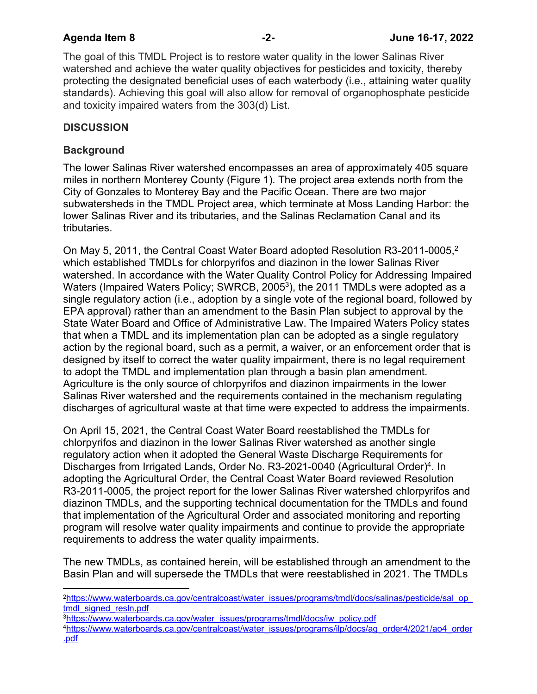The goal of this TMDL Project is to restore water quality in the lower Salinas River watershed and achieve the water quality objectives for pesticides and toxicity, thereby protecting the designated beneficial uses of each waterbody (i.e., attaining water quality standards). Achieving this goal will also allow for removal of organophosphate pesticide and toxicity impaired waters from the 303(d) List.

# **DISCUSSION**

## **Background**

The lower Salinas River watershed encompasses an area of approximately 405 square miles in northern Monterey County (Figure 1). The project area extends north from the City of Gonzales to Monterey Bay and the Pacific Ocean. There are two major subwatersheds in the TMDL Project area, which terminate at Moss Landing Harbor: the lower Salinas River and its tributaries, and the Salinas Reclamation Canal and its tributaries.

On May 5, [2](#page-1-0)011, the Central Coast Water Board adopted Resolution R3-2011-0005,<sup>2</sup> which established TMDLs for chlorpyrifos and diazinon in the lower Salinas River watershed. In accordance with the Water Quality Control Policy for Addressing Impaired Waters (Impaired Waters Policy; SWRCB, 2005<sup>[3](#page-1-1)</sup>), the 2011 TMDLs were adopted as a single regulatory action (i.e., adoption by a single vote of the regional board, followed by EPA approval) rather than an amendment to the Basin Plan subject to approval by the State Water Board and Office of Administrative Law. The Impaired Waters Policy states that when a TMDL and its implementation plan can be adopted as a single regulatory action by the regional board, such as a permit, a waiver, or an enforcement order that is designed by itself to correct the water quality impairment, there is no legal requirement to adopt the TMDL and implementation plan through a basin plan amendment. Agriculture is the only source of chlorpyrifos and diazinon impairments in the lower Salinas River watershed and the requirements contained in the mechanism regulating discharges of agricultural waste at that time were expected to address the impairments.

On April 15, 2021, the Central Coast Water Board reestablished the TMDLs for chlorpyrifos and diazinon in the lower Salinas River watershed as another single regulatory action when it adopted the General Waste Discharge Requirements for Discharges from Irrigated Lands, Order No. R3-2021-00[4](#page-1-2)0 (Agricultural Order)<sup>4</sup>. In adopting the Agricultural Order, the Central Coast Water Board reviewed Resolution R3-2011-0005, the project report for the lower Salinas River watershed chlorpyrifos and diazinon TMDLs, and the supporting technical documentation for the TMDLs and found that implementation of the Agricultural Order and associated monitoring and reporting program will resolve water quality impairments and continue to provide the appropriate requirements to address the water quality impairments.

The new TMDLs, as contained herein, will be established through an amendment to the Basin Plan and will supersede the TMDLs that were reestablished in 2021. The TMDLs

<span id="page-1-0"></span><sup>2</sup>[https://www.waterboards.ca.gov/centralcoast/water\\_issues/programs/tmdl/docs/salinas/pesticide/sal\\_op\\_](https://www.waterboards.ca.gov/centralcoast/water_issues/programs/tmdl/docs/salinas/pesticide/sal_op_tmdl_signed_resln.pdf) [tmdl\\_signed\\_resln.pdf](https://www.waterboards.ca.gov/centralcoast/water_issues/programs/tmdl/docs/salinas/pesticide/sal_op_tmdl_signed_resln.pdf)

<span id="page-1-1"></span><sup>3</sup>[https://www.waterboards.ca.gov/water\\_issues/programs/tmdl/docs/iw\\_policy.pdf](https://www.waterboards.ca.gov/water_issues/programs/tmdl/docs/iw_policy.pdf)

<span id="page-1-2"></span><sup>4</sup>[https://www.waterboards.ca.gov/centralcoast/water\\_issues/programs/ilp/docs/ag\\_order4/2021/ao4\\_order](https://www.waterboards.ca.gov/centralcoast/water_issues/programs/ilp/docs/ag_order4/2021/ao4_order.pdf) [.pdf](https://www.waterboards.ca.gov/centralcoast/water_issues/programs/ilp/docs/ag_order4/2021/ao4_order.pdf)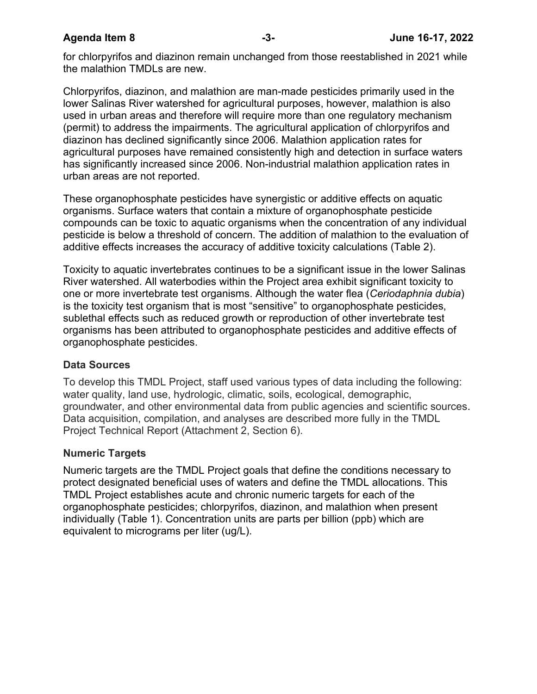for chlorpyrifos and diazinon remain unchanged from those reestablished in 2021 while the malathion TMDLs are new.

Chlorpyrifos, diazinon, and malathion are man-made pesticides primarily used in the lower Salinas River watershed for agricultural purposes, however, malathion is also used in urban areas and therefore will require more than one regulatory mechanism (permit) to address the impairments. The agricultural application of chlorpyrifos and diazinon has declined significantly since 2006. Malathion application rates for agricultural purposes have remained consistently high and detection in surface waters has significantly increased since 2006. Non-industrial malathion application rates in urban areas are not reported.

These organophosphate pesticides have synergistic or additive effects on aquatic organisms. Surface waters that contain a mixture of organophosphate pesticide compounds can be toxic to aquatic organisms when the concentration of any individual pesticide is below a threshold of concern. The addition of malathion to the evaluation of additive effects increases the accuracy of additive toxicity calculations (Table 2).

Toxicity to aquatic invertebrates continues to be a significant issue in the lower Salinas River watershed. All waterbodies within the Project area exhibit significant toxicity to one or more invertebrate test organisms. Although the water flea (*Ceriodaphnia dubia*) is the toxicity test organism that is most "sensitive" to organophosphate pesticides, sublethal effects such as reduced growth or reproduction of other invertebrate test organisms has been attributed to organophosphate pesticides and additive effects of organophosphate pesticides.

### **Data Sources**

To develop this TMDL Project, staff used various types of data including the following: water quality, land use, hydrologic, climatic, soils, ecological, demographic, groundwater, and other environmental data from public agencies and scientific sources. Data acquisition, compilation, and analyses are described more fully in the TMDL Project Technical Report (Attachment 2, Section 6).

### **Numeric Targets**

Numeric targets are the TMDL Project goals that define the conditions necessary to protect designated beneficial uses of waters and define the TMDL allocations. This TMDL Project establishes acute and chronic numeric targets for each of the organophosphate pesticides; chlorpyrifos, diazinon, and malathion when present individually (Table 1). Concentration units are parts per billion (ppb) which are equivalent to micrograms per liter (ug/L).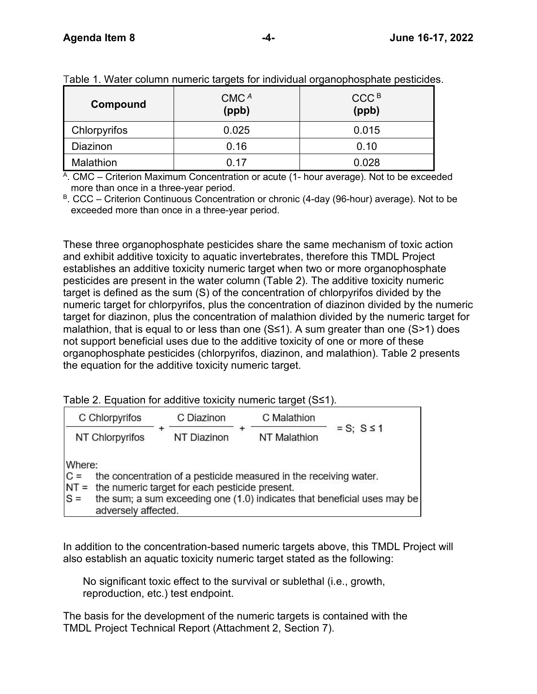| Compound     | CMC <sup>A</sup><br>(ppb) | CCC <sup>B</sup><br>(ppb) |
|--------------|---------------------------|---------------------------|
| Chlorpyrifos | 0.025                     | 0.015                     |
| Diazinon     | 0.16                      | 0.10                      |
| Malathion    | ი 17                      | 0.028                     |

Table 1. Water column numeric targets for individual organophosphate pesticides.

<sup>A</sup>. CMC – Criterion Maximum Concentration or acute (1- hour average). Not to be exceeded more than once in a three-year period.

<sup>B</sup>. CCC – Criterion Continuous Concentration or chronic (4-day (96-hour) average). Not to be exceeded more than once in a three-year period.

These three organophosphate pesticides share the same mechanism of toxic action and exhibit additive toxicity to aquatic invertebrates, therefore this TMDL Project establishes an additive toxicity numeric target when two or more organophosphate pesticides are present in the water column (Table 2). The additive toxicity numeric target is defined as the sum (S) of the concentration of chlorpyrifos divided by the numeric target for chlorpyrifos, plus the concentration of diazinon divided by the numeric target for diazinon, plus the concentration of malathion divided by the numeric target for malathion, that is equal to or less than one (S≤1). A sum greater than one (S>1) does not support beneficial uses due to the additive toxicity of one or more of these organophosphate pesticides (chlorpyrifos, diazinon, and malathion). Table 2 presents the equation for the additive toxicity numeric target.

Table 2. Equation for additive toxicity numeric target (S≤1).

| C Chlorpyrifos                                                                                           | C Diazinon  | C Malathion                                                       |                                                                          |
|----------------------------------------------------------------------------------------------------------|-------------|-------------------------------------------------------------------|--------------------------------------------------------------------------|
| NT Chlorpyrifos                                                                                          | NT Diazinon | <b>NT Malathion</b>                                               | $= S$ ; $S \le 1$                                                        |
| Where:<br>$C =$<br>$NT =$ the numeric target for each pesticide present.<br>$S =$<br>adversely affected. |             | the concentration of a pesticide measured in the receiving water. | the sum; a sum exceeding one (1.0) indicates that beneficial uses may be |

In addition to the concentration-based numeric targets above, this TMDL Project will also establish an aquatic toxicity numeric target stated as the following:

No significant toxic effect to the survival or sublethal (i.e., growth, reproduction, etc.) test endpoint.

The basis for the development of the numeric targets is contained with the TMDL Project Technical Report (Attachment 2, Section 7).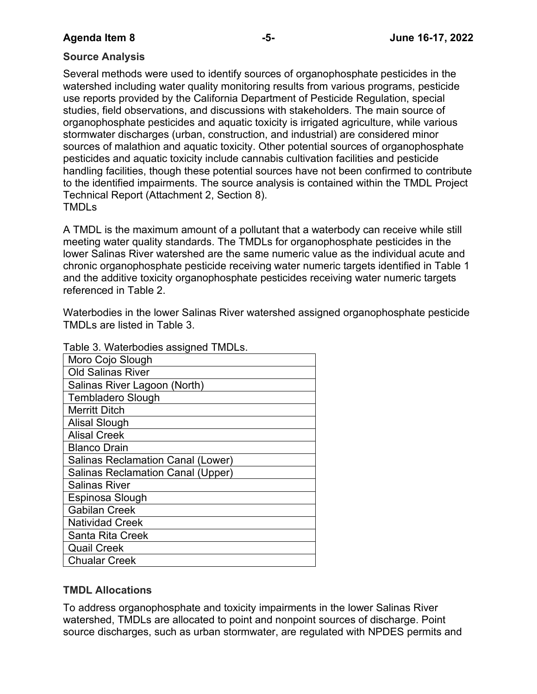## **Source Analysis**

Several methods were used to identify sources of organophosphate pesticides in the watershed including water quality monitoring results from various programs, pesticide use reports provided by the California Department of Pesticide Regulation, special studies, field observations, and discussions with stakeholders. The main source of organophosphate pesticides and aquatic toxicity is irrigated agriculture, while various stormwater discharges (urban, construction, and industrial) are considered minor sources of malathion and aquatic toxicity. Other potential sources of organophosphate pesticides and aquatic toxicity include cannabis cultivation facilities and pesticide handling facilities, though these potential sources have not been confirmed to contribute to the identified impairments. The source analysis is contained within the TMDL Project Technical Report (Attachment 2, Section 8). TMDLs

A TMDL is the maximum amount of a pollutant that a waterbody can receive while still meeting water quality standards. The TMDLs for organophosphate pesticides in the lower Salinas River watershed are the same numeric value as the individual acute and chronic organophosphate pesticide receiving water numeric targets identified in Table 1 and the additive toxicity organophosphate pesticides receiving water numeric targets referenced in Table 2.

Waterbodies in the lower Salinas River watershed assigned organophosphate pesticide TMDLs are listed in Table 3.

| Table 3. Waterbodies assigned TMDLS.     |
|------------------------------------------|
| Moro Cojo Slough                         |
| Old Salinas River                        |
| Salinas River Lagoon (North)             |
| <b>Tembladero Slough</b>                 |
| <b>Merritt Ditch</b>                     |
| <b>Alisal Slough</b>                     |
| <b>Alisal Creek</b>                      |
| <b>Blanco Drain</b>                      |
| Salinas Reclamation Canal (Lower)        |
| <b>Salinas Reclamation Canal (Upper)</b> |
| Salinas River                            |
| Espinosa Slough                          |
| <b>Gabilan Creek</b>                     |
| <b>Natividad Creek</b>                   |
| <b>Santa Rita Creek</b>                  |
| <b>Quail Creek</b>                       |
| <b>Chualar Creek</b>                     |

Table 3. Waterbodies assigned TMDLs.

## **TMDL Allocations**

To address organophosphate and toxicity impairments in the lower Salinas River watershed, TMDLs are allocated to point and nonpoint sources of discharge. Point source discharges, such as urban stormwater, are regulated with NPDES permits and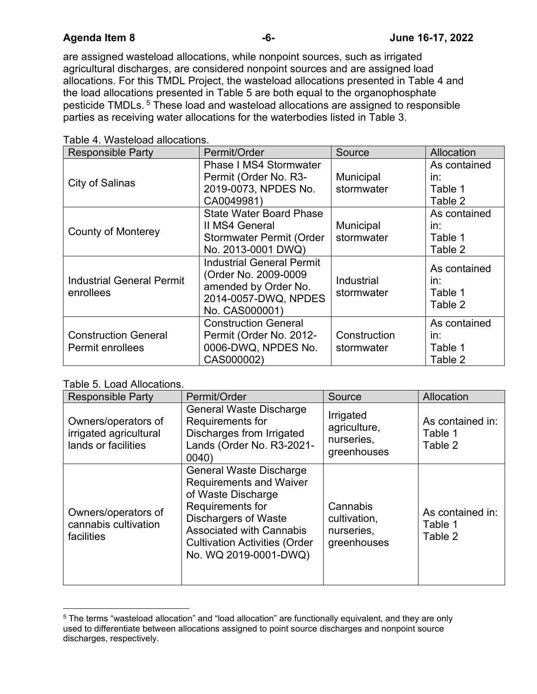are assigned wasteload allocations, while nonpoint sources, such as irrigated agricultural discharges, are considered nonpoint sources and are assigned load allocations. For this TMDL Project, the wasteload allocations presented in Table 4 and the load allocations presented in Table 5 are both equal to the organophosphate pesticide TMDLs. [5](#page-5-0) These load and wasteload allocations are assigned to responsible parties as receiving water allocations for the waterbodies listed in Table 3.

| <b>Responsible Party</b>                      | Permit/Order                                                                                                               | Source                   | Allocation                                |
|-----------------------------------------------|----------------------------------------------------------------------------------------------------------------------------|--------------------------|-------------------------------------------|
| <b>City of Salinas</b>                        | <b>Phase I MS4 Stormwater</b>                                                                                              |                          | As contained                              |
|                                               | Permit (Order No. R3-                                                                                                      | Municipal                | in:                                       |
|                                               | 2019-0073, NPDES No.                                                                                                       | stormwater               | Table 1                                   |
|                                               | CA0049981)                                                                                                                 |                          | Table 2                                   |
|                                               | <b>State Water Board Phase</b>                                                                                             |                          | As contained                              |
| <b>County of Monterey</b>                     | II MS4 General                                                                                                             | Municipal                | in:                                       |
|                                               | <b>Stormwater Permit (Order</b>                                                                                            | stormwater               | Table 1                                   |
|                                               | No. 2013-0001 DWQ)                                                                                                         |                          | Table 2                                   |
| <b>Industrial General Permit</b><br>enrollees | <b>Industrial General Permit</b><br>(Order No. 2009-0009<br>amended by Order No.<br>2014-0057-DWQ, NPDES<br>No. CAS000001) | Industrial<br>stormwater | As contained<br>in:<br>Table 1<br>Table 2 |
| <b>Construction General</b>                   | <b>Construction General</b><br>Permit (Order No. 2012-                                                                     | Construction             | As contained<br>in:                       |
| <b>Permit enrollees</b>                       | 0006-DWQ, NPDES No.                                                                                                        | stormwater               | Table 1                                   |
|                                               | CAS000002)                                                                                                                 |                          | Table 2                                   |

Table 4. Wasteload allocations.

Table 5. Load Allocations.

| <b>Responsible Party</b>                                             | Permit/Order                                                                                                                                                                                                                                  | Source                                                 | Allocation                             |
|----------------------------------------------------------------------|-----------------------------------------------------------------------------------------------------------------------------------------------------------------------------------------------------------------------------------------------|--------------------------------------------------------|----------------------------------------|
| Owners/operators of<br>irrigated agricultural<br>lands or facilities | <b>General Waste Discharge</b><br>Requirements for<br>Discharges from Irrigated<br>Lands (Order No. R3-2021-<br>0040)                                                                                                                         | Irrigated<br>agriculture,<br>nurseries,<br>greenhouses | As contained in:<br>Table 1<br>Table 2 |
| Owners/operators of<br>cannabis cultivation<br>facilities            | <b>General Waste Discharge</b><br><b>Requirements and Waiver</b><br>of Waste Discharge<br>Requirements for<br><b>Dischargers of Waste</b><br><b>Associated with Cannabis</b><br><b>Cultivation Activities (Order</b><br>No. WQ 2019-0001-DWQ) | Cannabis<br>cultivation,<br>nurseries,<br>greenhouses  | As contained in:<br>Table 1<br>Table 2 |

<span id="page-5-0"></span><sup>5</sup> The terms "wasteload allocation" and "load allocation" are functionally equivalent, and they are only used to differentiate between allocations assigned to point source discharges and nonpoint source discharges, respectively.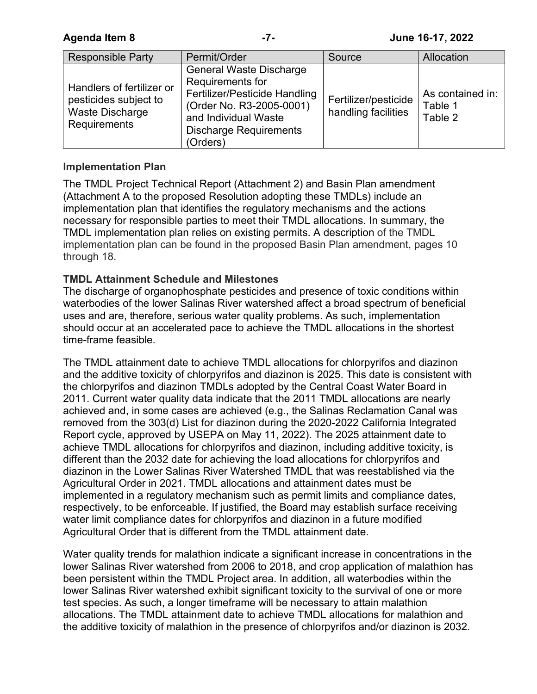| <b>Responsible Party</b>                                                              | Permit/Order                                                                                                                                                                         | Source                                      | Allocation                             |
|---------------------------------------------------------------------------------------|--------------------------------------------------------------------------------------------------------------------------------------------------------------------------------------|---------------------------------------------|----------------------------------------|
| Handlers of fertilizer or<br>pesticides subject to<br>Waste Discharge<br>Requirements | <b>General Waste Discharge</b><br>Requirements for<br>Fertilizer/Pesticide Handling<br>(Order No. R3-2005-0001)<br>and Individual Waste<br><b>Discharge Requirements</b><br>(Orders) | Fertilizer/pesticide<br>handling facilities | As contained in:<br>Table 1<br>Table 2 |

## **Implementation Plan**

The TMDL Project Technical Report (Attachment 2) and Basin Plan amendment (Attachment A to the proposed Resolution adopting these TMDLs) include an implementation plan that identifies the regulatory mechanisms and the actions necessary for responsible parties to meet their TMDL allocations. In summary, the TMDL implementation plan relies on existing permits. A description of the TMDL implementation plan can be found in the proposed Basin Plan amendment, pages 10 through 18.

## **TMDL Attainment Schedule and Milestones**

The discharge of organophosphate pesticides and presence of toxic conditions within waterbodies of the lower Salinas River watershed affect a broad spectrum of beneficial uses and are, therefore, serious water quality problems. As such, implementation should occur at an accelerated pace to achieve the TMDL allocations in the shortest time-frame feasible.

The TMDL attainment date to achieve TMDL allocations for chlorpyrifos and diazinon and the additive toxicity of chlorpyrifos and diazinon is 2025. This date is consistent with the chlorpyrifos and diazinon TMDLs adopted by the Central Coast Water Board in 2011. Current water quality data indicate that the 2011 TMDL allocations are nearly achieved and, in some cases are achieved (e.g., the Salinas Reclamation Canal was removed from the 303(d) List for diazinon during the 2020-2022 California Integrated Report cycle, approved by USEPA on May 11, 2022). The 2025 attainment date to achieve TMDL allocations for chlorpyrifos and diazinon, including additive toxicity, is different than the 2032 date for achieving the load allocations for chlorpyrifos and diazinon in the Lower Salinas River Watershed TMDL that was reestablished via the Agricultural Order in 2021. TMDL allocations and attainment dates must be implemented in a regulatory mechanism such as permit limits and compliance dates, respectively, to be enforceable. If justified, the Board may establish surface receiving water limit compliance dates for chlorpyrifos and diazinon in a future modified Agricultural Order that is different from the TMDL attainment date.

Water quality trends for malathion indicate a significant increase in concentrations in the lower Salinas River watershed from 2006 to 2018, and crop application of malathion has been persistent within the TMDL Project area. In addition, all waterbodies within the lower Salinas River watershed exhibit significant toxicity to the survival of one or more test species. As such, a longer timeframe will be necessary to attain malathion allocations. The TMDL attainment date to achieve TMDL allocations for malathion and the additive toxicity of malathion in the presence of chlorpyrifos and/or diazinon is 2032.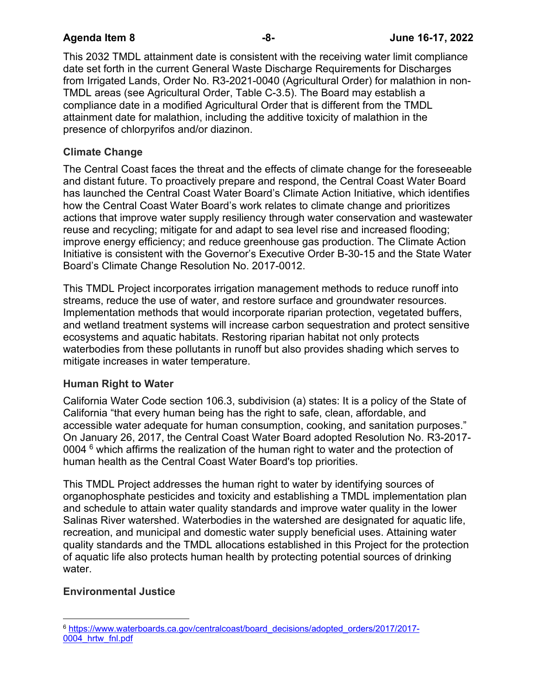This 2032 TMDL attainment date is consistent with the receiving water limit compliance date set forth in the current General Waste Discharge Requirements for Discharges from Irrigated Lands, Order No. R3-2021-0040 (Agricultural Order) for malathion in non-TMDL areas (see Agricultural Order, Table C-3.5). The Board may establish a compliance date in a modified Agricultural Order that is different from the TMDL attainment date for malathion, including the additive toxicity of malathion in the presence of chlorpyrifos and/or diazinon.

# **Climate Change**

The Central Coast faces the threat and the effects of climate change for the foreseeable and distant future. To proactively prepare and respond, the Central Coast Water Board has launched the Central Coast Water Board's Climate Action Initiative, which identifies how the Central Coast Water Board's work relates to climate change and prioritizes actions that improve water supply resiliency through water conservation and wastewater reuse and recycling; mitigate for and adapt to sea level rise and increased flooding; improve energy efficiency; and reduce greenhouse gas production. The Climate Action Initiative is consistent with the Governor's Executive Order B-30-15 and the State Water Board's Climate Change Resolution No. 2017-0012.

This TMDL Project incorporates irrigation management methods to reduce runoff into streams, reduce the use of water, and restore surface and groundwater resources. Implementation methods that would incorporate riparian protection, vegetated buffers, and wetland treatment systems will increase carbon sequestration and protect sensitive ecosystems and aquatic habitats. Restoring riparian habitat not only protects waterbodies from these pollutants in runoff but also provides shading which serves to mitigate increases in water temperature.

# **Human Right to Water**

California Water Code section 106.3, subdivision (a) states: It is a policy of the State of California "that every human being has the right to safe, clean, affordable, and accessible water adequate for human consumption, cooking, and sanitation purposes." On January 26, 2017, the Central Coast Water Board adopted Resolution No. R3-2017- 0004  $<sup>6</sup>$  $<sup>6</sup>$  $<sup>6</sup>$  which affirms the realization of the human right to water and the protection of</sup> human health as the Central Coast Water Board's top priorities.

This TMDL Project addresses the human right to water by identifying sources of organophosphate pesticides and toxicity and establishing a TMDL implementation plan and schedule to attain water quality standards and improve water quality in the lower Salinas River watershed. Waterbodies in the watershed are designated for aquatic life, recreation, and municipal and domestic water supply beneficial uses. Attaining water quality standards and the TMDL allocations established in this Project for the protection of aquatic life also protects human health by protecting potential sources of drinking water.

# **Environmental Justice**

<span id="page-7-0"></span><sup>6</sup> [https://www.waterboards.ca.gov/centralcoast/board\\_decisions/adopted\\_orders/2017/2017-](https://www.waterboards.ca.gov/centralcoast/board_decisions/adopted_orders/2017/2017-0004_hrtw_fnl.pdf) [0004\\_hrtw\\_fnl.pdf](https://www.waterboards.ca.gov/centralcoast/board_decisions/adopted_orders/2017/2017-0004_hrtw_fnl.pdf)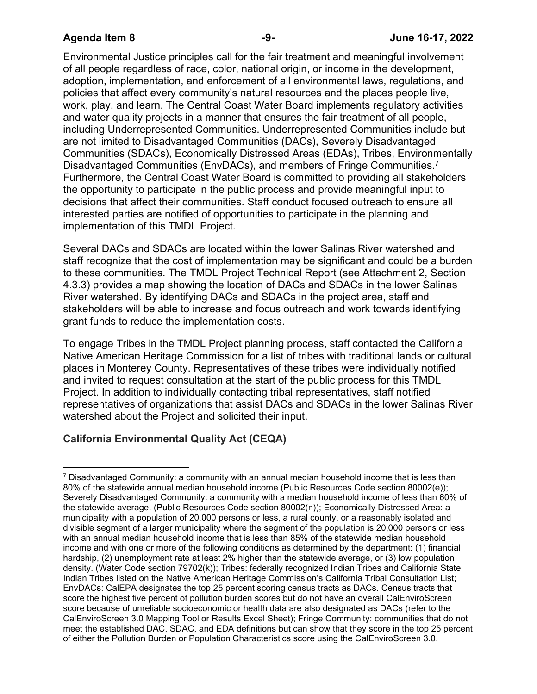Environmental Justice principles call for the fair treatment and meaningful involvement of all people regardless of race, color, national origin, or income in the development, adoption, implementation, and enforcement of all environmental laws, regulations, and policies that affect every community's natural resources and the places people live, work, play, and learn. The Central Coast Water Board implements regulatory activities and water quality projects in a manner that ensures the fair treatment of all people, including Underrepresented Communities. Underrepresented Communities include but are not limited to Disadvantaged Communities (DACs), Severely Disadvantaged Communities (SDACs), Economically Distressed Areas (EDAs), Tribes, Environmentally Disadvantaged Communities (EnvDACs), and members of Fringe Communities.[7](#page-8-0) Furthermore, the Central Coast Water Board is committed to providing all stakeholders the opportunity to participate in the public process and provide meaningful input to decisions that affect their communities. Staff conduct focused outreach to ensure all interested parties are notified of opportunities to participate in the planning and implementation of this TMDL Project.

Several DACs and SDACs are located within the lower Salinas River watershed and staff recognize that the cost of implementation may be significant and could be a burden to these communities. The TMDL Project Technical Report (see Attachment 2, Section 4.3.3) provides a map showing the location of DACs and SDACs in the lower Salinas River watershed. By identifying DACs and SDACs in the project area, staff and stakeholders will be able to increase and focus outreach and work towards identifying grant funds to reduce the implementation costs.

To engage Tribes in the TMDL Project planning process, staff contacted the California Native American Heritage Commission for a list of tribes with traditional lands or cultural places in Monterey County. Representatives of these tribes were individually notified and invited to request consultation at the start of the public process for this TMDL Project. In addition to individually contacting tribal representatives, staff notified representatives of organizations that assist DACs and SDACs in the lower Salinas River watershed about the Project and solicited their input.

# **California Environmental Quality Act (CEQA)**

<span id="page-8-0"></span> $7$  Disadvantaged Community: a community with an annual median household income that is less than 80% of the statewide annual median household income (Public Resources Code section 80002(e)); Severely Disadvantaged Community: a community with a median household income of less than 60% of the statewide average. (Public Resources Code section 80002(n)); Economically Distressed Area: a municipality with a population of 20,000 persons or less, a rural county, or a reasonably isolated and divisible segment of a larger municipality where the segment of the population is 20,000 persons or less with an annual median household income that is less than 85% of the statewide median household income and with one or more of the following conditions as determined by the department: (1) financial hardship, (2) unemployment rate at least 2% higher than the statewide average, or (3) low population density. (Water Code section 79702(k)); Tribes: federally recognized Indian Tribes and California State Indian Tribes listed on the Native American Heritage Commission's California Tribal Consultation List; EnvDACs: CalEPA designates the top 25 percent scoring census tracts as DACs. Census tracts that score the highest five percent of pollution burden scores but do not have an overall CalEnviroScreen score because of unreliable socioeconomic or health data are also designated as DACs (refer to the CalEnviroScreen 3.0 Mapping Tool or Results Excel Sheet); Fringe Community: communities that do not meet the established DAC, SDAC, and EDA definitions but can show that they score in the top 25 percent of either the Pollution Burden or Population Characteristics score using the CalEnviroScreen 3.0.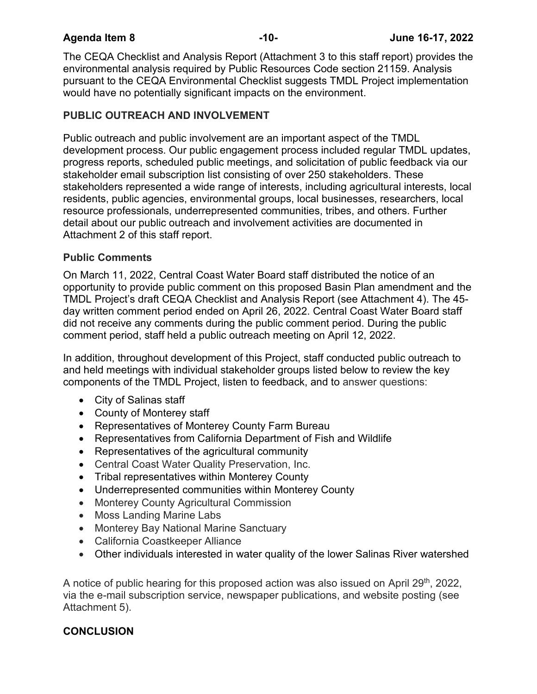The CEQA Checklist and Analysis Report (Attachment 3 to this staff report) provides the environmental analysis required by Public Resources Code section 21159. Analysis pursuant to the CEQA Environmental Checklist suggests TMDL Project implementation would have no potentially significant impacts on the environment.

# **PUBLIC OUTREACH AND INVOLVEMENT**

Public outreach and public involvement are an important aspect of the TMDL development process. Our public engagement process included regular TMDL updates, progress reports, scheduled public meetings, and solicitation of public feedback via our stakeholder email subscription list consisting of over 250 stakeholders. These stakeholders represented a wide range of interests, including agricultural interests, local residents, public agencies, environmental groups, local businesses, researchers, local resource professionals, underrepresented communities, tribes, and others. Further detail about our public outreach and involvement activities are documented in Attachment 2 of this staff report.

## **Public Comments**

On March 11, 2022, Central Coast Water Board staff distributed the notice of an opportunity to provide public comment on this proposed Basin Plan amendment and the TMDL Project's draft CEQA Checklist and Analysis Report (see Attachment 4). The 45 day written comment period ended on April 26, 2022. Central Coast Water Board staff did not receive any comments during the public comment period. During the public comment period, staff held a public outreach meeting on April 12, 2022.

In addition, throughout development of this Project, staff conducted public outreach to and held meetings with individual stakeholder groups listed below to review the key components of the TMDL Project, listen to feedback, and to answer questions:

- · City of Salinas staff
- · County of Monterey staff
- · Representatives of Monterey County Farm Bureau
- · Representatives from California Department of Fish and Wildlife
- · Representatives of the agricultural community
- · Central Coast Water Quality Preservation, Inc.
- · Tribal representatives within Monterey County
- · Underrepresented communities within Monterey County
- · Monterey County Agricultural Commission
- · Moss Landing Marine Labs
- · Monterey Bay National Marine Sanctuary
- · California Coastkeeper Alliance
- · Other individuals interested in water quality of the lower Salinas River watershed

A notice of public hearing for this proposed action was also issued on April 29<sup>th</sup>, 2022, via the e-mail subscription service, newspaper publications, and website posting (see Attachment 5).

# **CONCLUSION**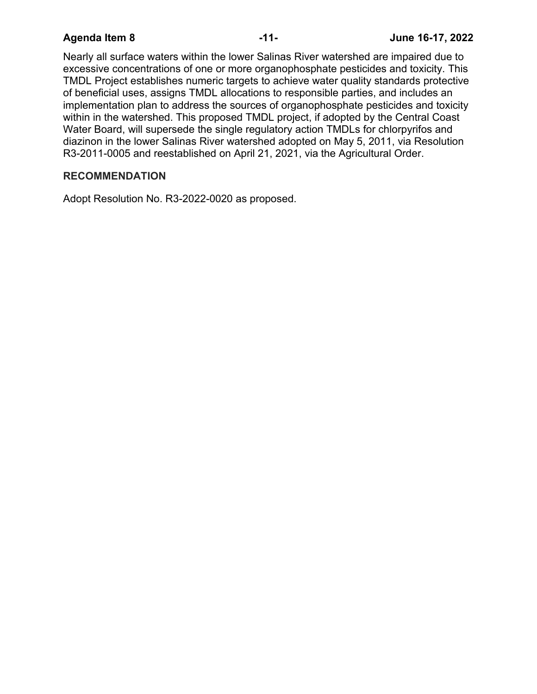Nearly all surface waters within the lower Salinas River watershed are impaired due to excessive concentrations of one or more organophosphate pesticides and toxicity. This TMDL Project establishes numeric targets to achieve water quality standards protective of beneficial uses, assigns TMDL allocations to responsible parties, and includes an implementation plan to address the sources of organophosphate pesticides and toxicity within in the watershed. This proposed TMDL project, if adopted by the Central Coast Water Board, will supersede the single regulatory action TMDLs for chlorpyrifos and diazinon in the lower Salinas River watershed adopted on May 5, 2011, via Resolution R3-2011-0005 and reestablished on April 21, 2021, via the Agricultural Order.

### **RECOMMENDATION**

Adopt Resolution No. R3-2022-0020 as proposed.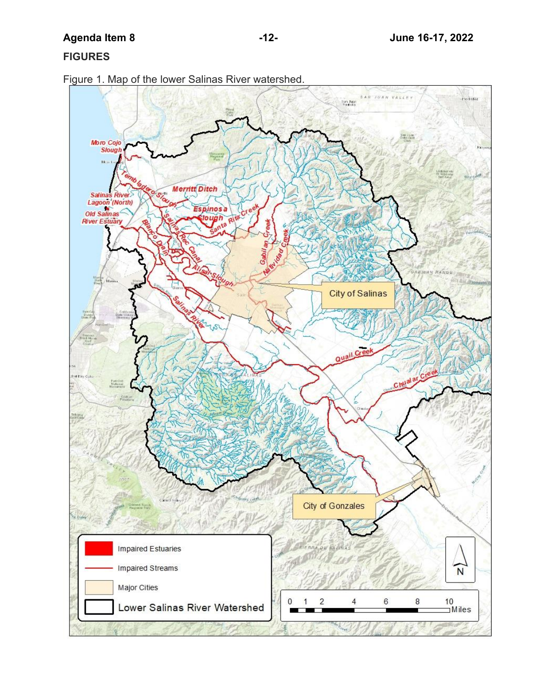## **FIGURES**



Figure 1. Map of the lower Salinas River watershed.